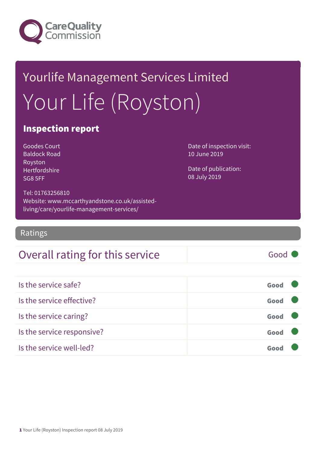

# Yourlife Management Services Limited Your Life (Royston)

### Inspection report

Goodes Court Baldock Road Royston Hertfordshire SG8 5FF

Date of inspection visit: 10 June 2019

Date of publication: 08 July 2019

Tel: 01763256810 Website: www.mccarthyandstone.co.uk/assistedliving/care/yourlife-management-services/

Ratings

### Overall rating for this service Good

| Is the service safe?       | Good |  |
|----------------------------|------|--|
| Is the service effective?  | Good |  |
| Is the service caring?     | Good |  |
| Is the service responsive? | Good |  |
| Is the service well-led?   |      |  |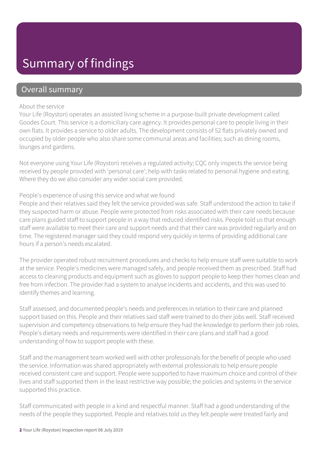### Summary of findings

### Overall summary

#### About the service

Your Life (Royston) operates an assisted living scheme in a purpose-built private development called Goodes Court. This service is a domiciliary care agency. It provides personal care to people living in their own flats. It provides a service to older adults. The development consists of 52 flats privately owned and occupied by older people who also share some communal areas and facilities; such as dining rooms, lounges and gardens.

Not everyone using Your Life (Royston) receives a regulated activity; CQC only inspects the service being received by people provided with 'personal care'; help with tasks related to personal hygiene and eating. Where they do we also consider any wider social care provided.

#### People's experience of using this service and what we found

People and their relatives said they felt the service provided was safe. Staff understood the action to take if they suspected harm or abuse. People were protected from risks associated with their care needs because care plans guided staff to support people in a way that reduced identified risks. People told us that enough staff were available to meet their care and support needs and that their care was provided regularly and on time. The registered manager said they could respond very quickly in terms of providing additional care hours if a person's needs escalated.

The provider operated robust recruitment procedures and checks to help ensure staff were suitable to work at the service. People's medicines were managed safely, and people received them as prescribed. Staff had access to cleaning products and equipment such as gloves to support people to keep their homes clean and free from infection. The provider had a system to analyse incidents and accidents, and this was used to identify themes and learning.

Staff assessed, and documented people's needs and preferences in relation to their care and planned support based on this. People and their relatives said staff were trained to do their jobs well. Staff received supervision and competency observations to help ensure they had the knowledge to perform their job roles. People's dietary needs and requirements were identified in their care plans and staff had a good understanding of how to support people with these.

Staff and the management team worked well with other professionals for the benefit of people who used the service. Information was shared appropriately with external professionals to help ensure people received consistent care and support. People were supported to have maximum choice and control of their lives and staff supported them in the least restrictive way possible; the policies and systems in the service supported this practice.

Staff communicated with people in a kind and respectful manner. Staff had a good understanding of the needs of the people they supported. People and relatives told us they felt people were treated fairly and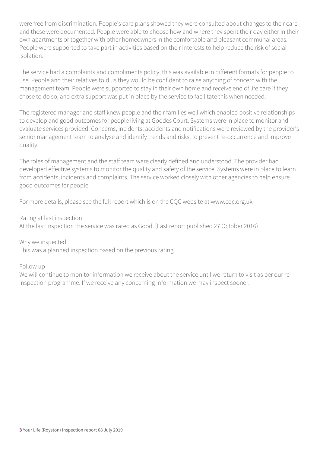were free from discrimination. People's care plans showed they were consulted about changes to their care and these were documented. People were able to choose how and where they spent their day either in their own apartments or together with other homeowners in the comfortable and pleasant communal areas. People were supported to take part in activities based on their interests to help reduce the risk of social isolation.

The service had a complaints and compliments policy, this was available in different formats for people to use. People and their relatives told us they would be confident to raise anything of concern with the management team. People were supported to stay in their own home and receive end of life care if they chose to do so, and extra support was put in place by the service to facilitate this when needed.

The registered manager and staff knew people and their families well which enabled positive relationships to develop and good outcomes for people living at Goodes Court. Systems were in place to monitor and evaluate services provided. Concerns, incidents, accidents and notifications were reviewed by the provider's senior management team to analyse and identify trends and risks, to prevent re-occurrence and improve quality.

The roles of management and the staff team were clearly defined and understood. The provider had developed effective systems to monitor the quality and safety of the service. Systems were in place to learn from accidents, incidents and complaints. The service worked closely with other agencies to help ensure good outcomes for people.

For more details, please see the full report which is on the CQC website at www.cqc.org.uk

#### Rating at last inspection

At the last inspection the service was rated as Good. (Last report published 27 October 2016)

Why we inspected

This was a planned inspection based on the previous rating.

Follow up

We will continue to monitor information we receive about the service until we return to visit as per our reinspection programme. If we receive any concerning information we may inspect sooner.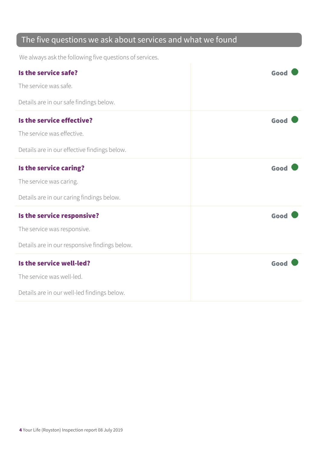### The five questions we ask about services and what we found

We always ask the following five questions of services.

| Is the service safe?                          | Good |
|-----------------------------------------------|------|
| The service was safe.                         |      |
| Details are in our safe findings below.       |      |
| Is the service effective?                     | Good |
| The service was effective.                    |      |
| Details are in our effective findings below.  |      |
| Is the service caring?                        | Good |
| The service was caring.                       |      |
| Details are in our caring findings below.     |      |
| Is the service responsive?                    | Good |
| The service was responsive.                   |      |
| Details are in our responsive findings below. |      |
| Is the service well-led?                      | Good |
| The service was well-led.                     |      |
| Details are in our well-led findings below.   |      |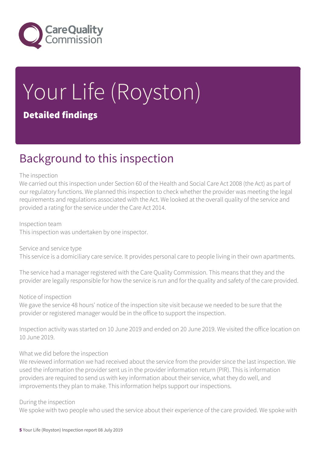

# Your Life (Royston) Detailed findings

### Background to this inspection

#### The inspection

We carried out this inspection under Section 60 of the Health and Social Care Act 2008 (the Act) as part of our regulatory functions. We planned this inspection to check whether the provider was meeting the legal requirements and regulations associated with the Act. We looked at the overall quality of the service and provided a rating for the service under the Care Act 2014.

Inspection team

This inspection was undertaken by one inspector.

Service and service type This service is a domiciliary care service. It provides personal care to people living in their own apartments.

The service had a manager registered with the Care Quality Commission. This means that they and the provider are legally responsible for how the service is run and for the quality and safety of the care provided.

#### Notice of inspection

We gave the service 48 hours' notice of the inspection site visit because we needed to be sure that the provider or registered manager would be in the office to support the inspection.

Inspection activity was started on 10 June 2019 and ended on 20 June 2019. We visited the office location on 10 June 2019.

#### What we did before the inspection

We reviewed information we had received about the service from the provider since the last inspection. We used the information the provider sent us in the provider information return (PIR). This is information providers are required to send us with key information about their service, what they do well, and improvements they plan to make. This information helps support our inspections.

#### During the inspection

We spoke with two people who used the service about their experience of the care provided. We spoke with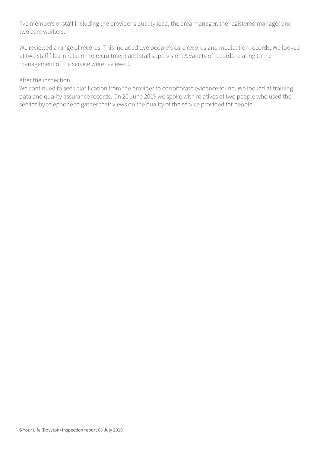five members of staff including the provider's quality lead, the area manager, the registered manager and two care workers.

We reviewed a range of records. This included two people's care records and medication records. We looked at two staff files in relation to recruitment and staff supervision. A variety of records relating to the management of the service were reviewed.

#### After the inspection

We continued to seek clarification from the provider to corroborate evidence found. We looked at training data and quality assurance records. On 20 June 2019 we spoke with relatives of two people who used the service by telephone to gather their views on the quality of the service provided for people.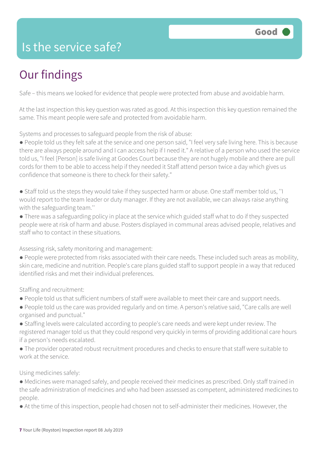### Is the service safe?

## Our findings

Safe – this means we looked for evidence that people were protected from abuse and avoidable harm.

At the last inspection this key question was rated as good. At this inspection this key question remained the same. This meant people were safe and protected from avoidable harm.

Systems and processes to safeguard people from the risk of abuse:

● People told us they felt safe at the service and one person said, "I feel very safe living here. This is because there are always people around and I can access help if I need it." A relative of a person who used the service told us, "I feel [Person] is safe living at Goodes Court because they are not hugely mobile and there are pull cords for them to be able to access help if they needed it Staff attend person twice a day which gives us confidence that someone is there to check for their safety."

● Staff told us the steps they would take if they suspected harm or abuse. One staff member told us, ''I would report to the team leader or duty manager. If they are not available, we can always raise anything with the safeguarding team.''

● There was a safeguarding policy in place at the service which guided staff what to do if they suspected people were at risk of harm and abuse. Posters displayed in communal areas advised people, relatives and staff who to contact in these situations.

Assessing risk, safety monitoring and management:

● People were protected from risks associated with their care needs. These included such areas as mobility, skin care, medicine and nutrition. People's care plans guided staff to support people in a way that reduced identified risks and met their individual preferences.

Staffing and recruitment:

- People told us that sufficient numbers of staff were available to meet their care and support needs.
- People told us the care was provided regularly and on time. A person's relative said, "Care calls are well organised and punctual."
- Staffing levels were calculated according to people's care needs and were kept under review. The registered manager told us that they could respond very quickly in terms of providing additional care hours if a person's needs escalated.
- The provider operated robust recruitment procedures and checks to ensure that staff were suitable to work at the service.

Using medicines safely:

- Medicines were managed safely, and people received their medicines as prescribed. Only staff trained in the safe administration of medicines and who had been assessed as competent, administered medicines to people.
- At the time of this inspection, people had chosen not to self-administer their medicines. However, the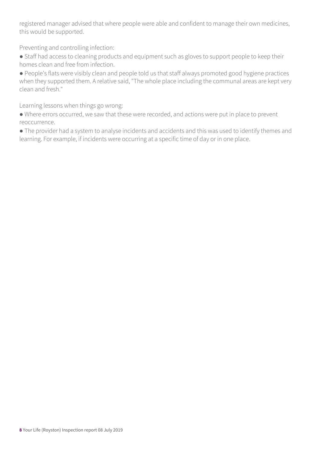registered manager advised that where people were able and confident to manage their own medicines, this would be supported.

Preventing and controlling infection:

● Staff had access to cleaning products and equipment such as gloves to support people to keep their homes clean and free from infection.

● People's flats were visibly clean and people told us that staff always promoted good hygiene practices when they supported them. A relative said, "The whole place including the communal areas are kept very clean and fresh."

Learning lessons when things go wrong:

● Where errors occurred, we saw that these were recorded, and actions were put in place to prevent reoccurrence.

● The provider had a system to analyse incidents and accidents and this was used to identify themes and learning. For example, if incidents were occurring at a specific time of day or in one place.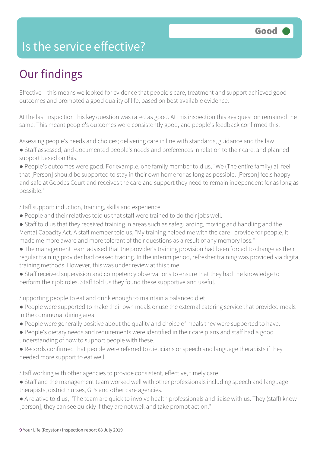### Is the service effective?

## Our findings

Effective – this means we looked for evidence that people's care, treatment and support achieved good outcomes and promoted a good quality of life, based on best available evidence.

At the last inspection this key question was rated as good. At this inspection this key question remained the same. This meant people's outcomes were consistently good, and people's feedback confirmed this.

Assessing people's needs and choices; delivering care in line with standards, guidance and the law

● Staff assessed, and documented people's needs and preferences in relation to their care, and planned support based on this.

● People's outcomes were good. For example, one family member told us, "We (The entire family) all feel that [Person] should be supported to stay in their own home for as long as possible. [Person] feels happy and safe at Goodes Court and receives the care and support they need to remain independent for as long as possible."

Staff support: induction, training, skills and experience

- People and their relatives told us that staff were trained to do their jobs well.
- Staff told us that they received training in areas such as safeguarding, moving and handling and the Mental Capacity Act. A staff member told us, "My training helped me with the care I provide for people, it made me more aware and more tolerant of their questions as a result of any memory loss."
- The management team advised that the provider's training provision had been forced to change as their regular training provider had ceased trading. In the interim period, refresher training was provided via digital training methods. However, this was under review at this time.
- Staff received supervision and competency observations to ensure that they had the knowledge to perform their job roles. Staff told us they found these supportive and useful.

Supporting people to eat and drink enough to maintain a balanced diet

- People were supported to make their own meals or use the external catering service that provided meals in the communal dining area.
- People were generally positive about the quality and choice of meals they were supported to have.
- People's dietary needs and requirements were identified in their care plans and staff had a good understanding of how to support people with these.
- Records confirmed that people were referred to dieticians or speech and language therapists if they needed more support to eat well.

Staff working with other agencies to provide consistent, effective, timely care

- Staff and the management team worked well with other professionals including speech and language therapists, district nurses, GPs and other care agencies.
- A relative told us, ''The team are quick to involve health professionals and liaise with us. They (staff) know [person], they can see quickly if they are not well and take prompt action."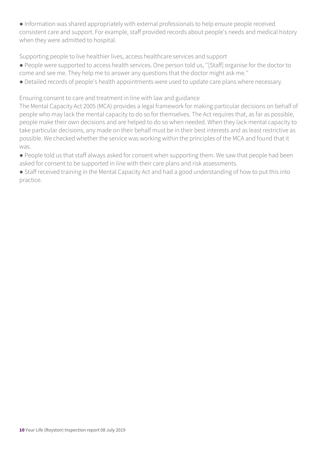● Information was shared appropriately with external professionals to help ensure people received consistent care and support. For example, staff provided records about people's needs and medical history when they were admitted to hospital.

Supporting people to live healthier lives, access healthcare services and support

- People were supported to access health services. One person told us, ''[Staff] organise for the doctor to
- come and see me. They help me to answer any questions that the doctor might ask me.''
- Detailed records of people's health appointments were used to update care plans where necessary.

Ensuring consent to care and treatment in line with law and guidance

The Mental Capacity Act 2005 (MCA) provides a legal framework for making particular decisions on behalf of people who may lack the mental capacity to do so for themselves. The Act requires that, as far as possible, people make their own decisions and are helped to do so when needed. When they lack mental capacity to take particular decisions, any made on their behalf must be in their best interests and as least restrictive as possible. We checked whether the service was working within the principles of the MCA and found that it was.

● People told us that staff always asked for consent when supporting them. We saw that people had been asked for consent to be supported in line with their care plans and risk assessments.

● Staff received training in the Mental Capacity Act and had a good understanding of how to put this into practice.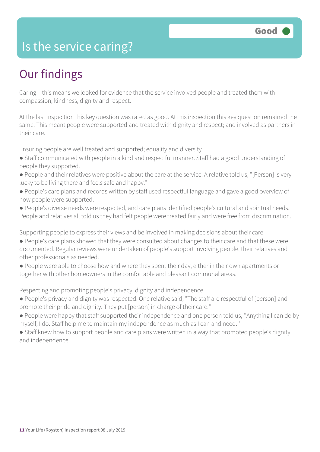### Is the service caring?

### Our findings

Caring – this means we looked for evidence that the service involved people and treated them with compassion, kindness, dignity and respect.

At the last inspection this key question was rated as good. At this inspection this key question remained the same. This meant people were supported and treated with dignity and respect; and involved as partners in their care.

Ensuring people are well treated and supported; equality and diversity

- Staff communicated with people in a kind and respectful manner. Staff had a good understanding of people they supported.
- People and their relatives were positive about the care at the service. A relative told us, "[Person] is very lucky to be living there and feels safe and happy."
- People's care plans and records written by staff used respectful language and gave a good overview of how people were supported.
- People's diverse needs were respected, and care plans identified people's cultural and spiritual needs. People and relatives all told us they had felt people were treated fairly and were free from discrimination.

Supporting people to express their views and be involved in making decisions about their care

- People's care plans showed that they were consulted about changes to their care and that these were documented. Regular reviews were undertaken of people's support involving people, their relatives and other professionals as needed.
- People were able to choose how and where they spent their day, either in their own apartments or together with other homeowners in the comfortable and pleasant communal areas.

Respecting and promoting people's privacy, dignity and independence

- People's privacy and dignity was respected. One relative said, "The staff are respectful of [person] and promote their pride and dignity. They put [person] in charge of their care."
- People were happy that staff supported their independence and one person told us, ''Anything I can do by myself, I do. Staff help me to maintain my independence as much as I can and need.''
- Staff knew how to support people and care plans were written in a way that promoted people's dignity and independence.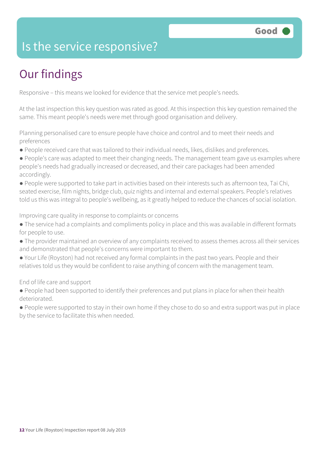### Is the service responsive?

# Our findings

Responsive – this means we looked for evidence that the service met people's needs.

At the last inspection this key question was rated as good. At this inspection this key question remained the same. This meant people's needs were met through good organisation and delivery.

Planning personalised care to ensure people have choice and control and to meet their needs and preferences

- People received care that was tailored to their individual needs, likes, dislikes and preferences.
- People's care was adapted to meet their changing needs. The management team gave us examples where people's needs had gradually increased or decreased, and their care packages had been amended accordingly.

● People were supported to take part in activities based on their interests such as afternoon tea, Tai Chi, seated exercise, film nights, bridge club, quiz nights and internal and external speakers. People's relatives told us this was integral to people's wellbeing, as it greatly helped to reduce the chances of social isolation.

Improving care quality in response to complaints or concerns

- The service had a complaints and compliments policy in place and this was available in different formats for people to use.
- The provider maintained an overview of any complaints received to assess themes across all their services and demonstrated that people's concerns were important to them.
- Your Life (Royston) had not received any formal complaints in the past two years. People and their relatives told us they would be confident to raise anything of concern with the management team.

End of life care and support

- People had been supported to identify their preferences and put plans in place for when their health deteriorated.
- People were supported to stay in their own home if they chose to do so and extra support was put in place by the service to facilitate this when needed.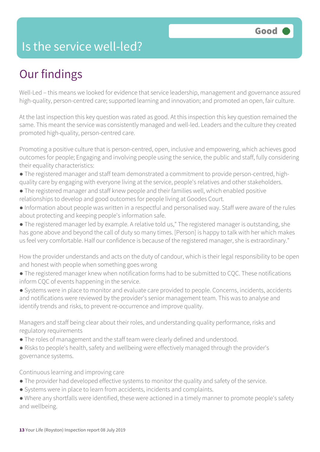### Is the service well-led?

## Our findings

Well-Led – this means we looked for evidence that service leadership, management and governance assured high-quality, person-centred care; supported learning and innovation; and promoted an open, fair culture.

At the last inspection this key question was rated as good. At this inspection this key question remained the same. This meant the service was consistently managed and well-led. Leaders and the culture they created promoted high-quality, person-centred care.

Promoting a positive culture that is person-centred, open, inclusive and empowering, which achieves good outcomes for people; Engaging and involving people using the service, the public and staff, fully considering their equality characteristics:

- The registered manager and staff team demonstrated a commitment to provide person-centred, highquality care by engaging with everyone living at the service, people's relatives and other stakeholders.
- The registered manager and staff knew people and their families well, which enabled positive relationships to develop and good outcomes for people living at Goodes Court.
- Information about people was written in a respectful and personalised way. Staff were aware of the rules about protecting and keeping people's information safe.
- The registered manager led by example. A relative told us," The registered manager is outstanding, she has gone above and beyond the call of duty so many times. [Person] is happy to talk with her which makes us feel very comfortable. Half our confidence is because of the registered manager, she is extraordinary."

How the provider understands and acts on the duty of candour, which is their legal responsibility to be open and honest with people when something goes wrong

● The registered manager knew when notification forms had to be submitted to CQC. These notifications inform CQC of events happening in the service.

● Systems were in place to monitor and evaluate care provided to people. Concerns, incidents, accidents and notifications were reviewed by the provider's senior management team. This was to analyse and identify trends and risks, to prevent re-occurrence and improve quality.

Managers and staff being clear about their roles, and understanding quality performance, risks and regulatory requirements

- The roles of management and the staff team were clearly defined and understood.
- Risks to people's health, safety and wellbeing were effectively managed through the provider's governance systems.

#### Continuous learning and improving care

- The provider had developed effective systems to monitor the quality and safety of the service.
- Systems were in place to learn from accidents, incidents and complaints.
- Where any shortfalls were identified, these were actioned in a timely manner to promote people's safety and wellbeing.